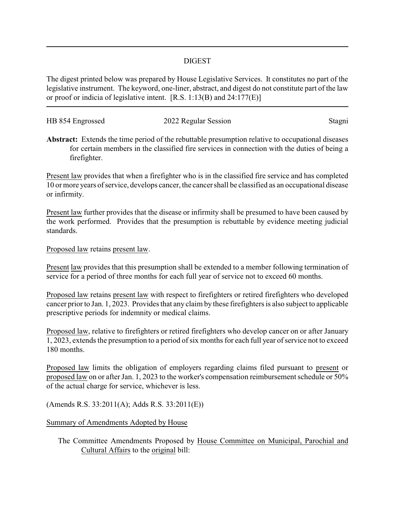## DIGEST

The digest printed below was prepared by House Legislative Services. It constitutes no part of the legislative instrument. The keyword, one-liner, abstract, and digest do not constitute part of the law or proof or indicia of legislative intent. [R.S. 1:13(B) and 24:177(E)]

| HB 854 Engrossed | 2022 Regular Session | Stagni |
|------------------|----------------------|--------|
|                  |                      |        |

**Abstract:** Extends the time period of the rebuttable presumption relative to occupational diseases for certain members in the classified fire services in connection with the duties of being a firefighter.

Present law provides that when a firefighter who is in the classified fire service and has completed 10 or more years of service, develops cancer, the cancer shall be classified as an occupational disease or infirmity.

Present law further provides that the disease or infirmity shall be presumed to have been caused by the work performed. Provides that the presumption is rebuttable by evidence meeting judicial standards.

Proposed law retains present law.

Present law provides that this presumption shall be extended to a member following termination of service for a period of three months for each full year of service not to exceed 60 months.

Proposed law retains present law with respect to firefighters or retired firefighters who developed cancer prior to Jan. 1, 2023. Provides that any claim by these firefighters is also subject to applicable prescriptive periods for indemnity or medical claims.

Proposed law, relative to firefighters or retired firefighters who develop cancer on or after January 1, 2023, extends the presumption to a period of six months for each full year of service not to exceed 180 months.

Proposed law limits the obligation of employers regarding claims filed pursuant to present or proposed law on or after Jan. 1, 2023 to the worker's compensation reimbursement schedule or 50% of the actual charge for service, whichever is less.

(Amends R.S. 33:2011(A); Adds R.S. 33:2011(E))

## Summary of Amendments Adopted by House

The Committee Amendments Proposed by House Committee on Municipal, Parochial and Cultural Affairs to the original bill: